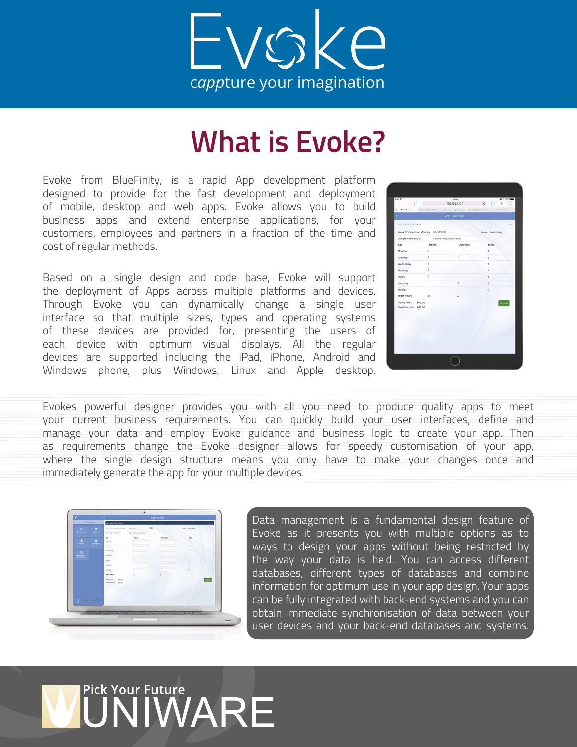

## **What is Evoke?**

Evoke from BlueFinity, is a rapid App development platform designed to provide for the fast development and deployment of mobile, desktop and web apps. Evoke allows you to build business apps and extend enterprise applications, for your customers, employees and partners in a fraction of the time and cost of regular methods.

Based on a single design and code base, Evoke will support the deployment of Apps across multiple platforms and devices. Through Evoke you can dynamically change a single user interface so that multiple sizes, types and operating systems of these devices are provided for, presenting the users of each device with optimum visual displays. All the regular devices are supported including the iPad, iPhone, Android and Windows phone, plus Windows, Linux and Apple desktop.

| Pad T<br>$\rightarrow$ $\Omega$             |                      | 14.04<br>192.168.1.107                   | $Q$ ( $100$ $R$<br>c fi<br>$+$ |
|---------------------------------------------|----------------------|------------------------------------------|--------------------------------|
| C Timesheets                                | Sales, Order, Proces | Develop Apps Once  BlueFinity Internatio | Timeshawto                     |
| ≡                                           |                      | <b>Add Timesheet</b>                     |                                |
| ADD A NEW TIMESHEET                         |                      |                                          | 111                            |
| Week Commencing Monday: 03/04/2017          |                      |                                          | Name: Fred Finley              |
| Company working at : Caravan Refurbishments |                      |                                          |                                |
| Day                                         | <b>Hours</b>         | Overtime                                 | Total                          |
| Monday                                      | 2                    |                                          | $\overline{ }$                 |
| Tuesday                                     | $\overline{z}$       | t                                        | $\bar{a}$                      |
| Wednesday                                   | $\overline{z}$       |                                          | $\overline{z}$                 |
| Thursday                                    | $\overline{z}$       |                                          | $\overline{\phantom{a}}$       |
| Friday                                      | $\overline{z}$       |                                          | $\overline{z}$                 |
| Saturday                                    |                      | ä                                        | $\overline{\phantom{a}}$       |
| Sunday                                      |                      |                                          | $\circ$                        |
| <b>Total Hours</b>                          | 35                   | ۷                                        |                                |
| Hourly rate: £60.00                         |                      |                                          |                                |
| Overtime rate: £90.00                       |                      |                                          |                                |
|                                             |                      |                                          |                                |
|                                             |                      |                                          |                                |
|                                             |                      |                                          |                                |
|                                             |                      |                                          |                                |
|                                             |                      |                                          |                                |
|                                             |                      |                                          |                                |

Evokes powerful designer provides you with all you need to produce quality apps to meet your current business requirements. You can quickly build your user interfaces, define and manage your data and employ Evoke guidance and business logic to create your app. Then as requirements change the Evoke designer allows for speedy customisation of your app, where the single design structure means you only have to make your changes once and immediately generate the app for your multiple devices.

| <b>Ca. Main Marks</b>                                                                                                                                                                                                                                                                                                                                                     |              | Add Timesheet<br><b>Add a New TimeSheet</b> |                    |                |                |                   |       |
|---------------------------------------------------------------------------------------------------------------------------------------------------------------------------------------------------------------------------------------------------------------------------------------------------------------------------------------------------------------------------|--------------|---------------------------------------------|--------------------|----------------|----------------|-------------------|-------|
|                                                                                                                                                                                                                                                                                                                                                                           |              |                                             |                    |                |                |                   |       |
| ٠<br><b>September</b>                                                                                                                                                                                                                                                                                                                                                     |              | West Commercing Munday                      | meano              | $\mathbb{R}^n$ |                | Name: Find Finley |       |
|                                                                                                                                                                                                                                                                                                                                                                           |              | Company working at :                        | Caraon Autumnerers |                |                |                   |       |
| ш                                                                                                                                                                                                                                                                                                                                                                         | ٠            | buy<br>Monday                               | <b>Players</b>     |                | <b>Custome</b> | <b>Turned</b>     |       |
|                                                                                                                                                                                                                                                                                                                                                                           | <b>House</b> | Tuesday                                     |                    |                |                |                   |       |
|                                                                                                                                                                                                                                                                                                                                                                           |              | Vinderstar                                  |                    |                |                |                   |       |
| ٠                                                                                                                                                                                                                                                                                                                                                                         |              | Thursday                                    |                    |                |                |                   |       |
| $\frac{1}{\sqrt{2\pi}}\sum_{i=1}^{n} \frac{1}{\sqrt{2\pi}}\sum_{i=1}^{n} \frac{1}{\sqrt{2\pi}}\sum_{i=1}^{n} \frac{1}{\sqrt{2\pi}}\sum_{i=1}^{n} \frac{1}{\sqrt{2\pi}}\sum_{i=1}^{n} \frac{1}{\sqrt{2\pi}}\sum_{i=1}^{n} \frac{1}{\sqrt{2\pi}}\sum_{i=1}^{n} \frac{1}{\sqrt{2\pi}}\sum_{i=1}^{n} \frac{1}{\sqrt{2\pi}}\sum_{i=1}^{n} \frac{1}{\sqrt{2\pi}}\sum_{i=1}^{n}$ |              | <b>Focky</b>                                |                    |                |                |                   |       |
|                                                                                                                                                                                                                                                                                                                                                                           |              | <b>Taltania</b>                             |                    |                |                |                   |       |
|                                                                                                                                                                                                                                                                                                                                                                           |              | Sunday                                      |                    |                |                |                   |       |
|                                                                                                                                                                                                                                                                                                                                                                           |              | <b>Total Hours</b>                          | $\mathbf{u}$       |                |                |                   |       |
|                                                                                                                                                                                                                                                                                                                                                                           |              | Hourly take 1<br>197.99                     |                    |                |                |                   | Sales |
|                                                                                                                                                                                                                                                                                                                                                                           |              | Darline site: (2030)                        |                    |                |                |                   |       |
|                                                                                                                                                                                                                                                                                                                                                                           |              |                                             |                    |                |                |                   |       |
|                                                                                                                                                                                                                                                                                                                                                                           |              |                                             |                    |                |                |                   |       |
|                                                                                                                                                                                                                                                                                                                                                                           |              |                                             |                    |                |                |                   |       |
|                                                                                                                                                                                                                                                                                                                                                                           | Rtechniche   |                                             |                    |                |                |                   |       |

Data management is a fundamental design feature of Evoke as it presents you with multiple options as to ways to design your apps without being restricted by the way your data is held. You can access different databases, different types of databases and combine information for optimum use in your app design. Your apps can be fully integrated with back-end systems and you can obtain immediate synchronisation of data between your user devices and your back-end databases and systems.